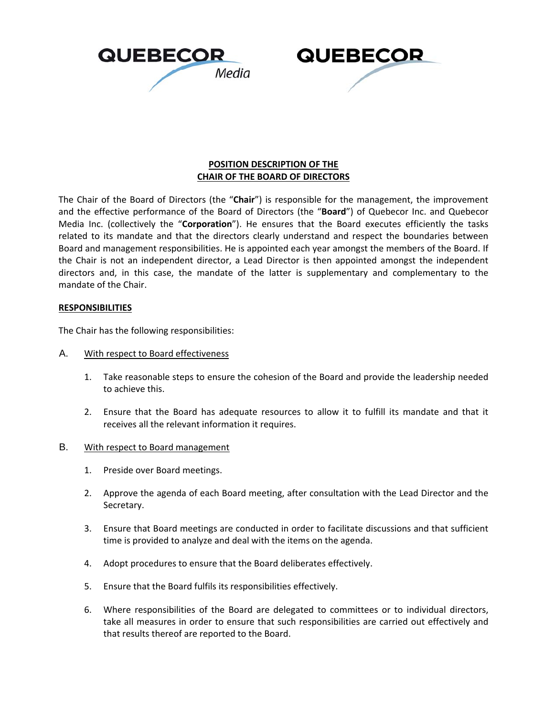



## **POSITION DESCRIPTION OF THE CHAIR OF THE BOARD OF DIRECTORS**

The Chair of the Board of Directors (the "**Chair**") is responsible for the management, the improvement and the effective performance of the Board of Directors (the "**Board**") of Quebecor Inc. and Quebecor Media Inc. (collectively the "**Corporation**"). He ensures that the Board executes efficiently the tasks related to its mandate and that the directors clearly understand and respect the boundaries between Board and management responsibilities. He is appointed each year amongst the members of the Board. If the Chair is not an independent director, a Lead Director is then appointed amongst the independent directors and, in this case, the mandate of the latter is supplementary and complementary to the mandate of the Chair.

## **RESPONSIBILITIES**

The Chair has the following responsibilities:

- A. With respect to Board effectiveness
	- 1. Take reasonable steps to ensure the cohesion of the Board and provide the leadership needed to achieve this.
	- 2. Ensure that the Board has adequate resources to allow it to fulfill its mandate and that it receives all the relevant information it requires.
- B. With respect to Board management
	- 1. Preside over Board meetings.
	- 2. Approve the agenda of each Board meeting, after consultation with the Lead Director and the Secretary.
	- 3. Ensure that Board meetings are conducted in order to facilitate discussions and that sufficient time is provided to analyze and deal with the items on the agenda.
	- 4. Adopt procedures to ensure that the Board deliberates effectively.
	- 5. Ensure that the Board fulfils its responsibilities effectively.
	- 6. Where responsibilities of the Board are delegated to committees or to individual directors, take all measures in order to ensure that such responsibilities are carried out effectively and that results thereof are reported to the Board.